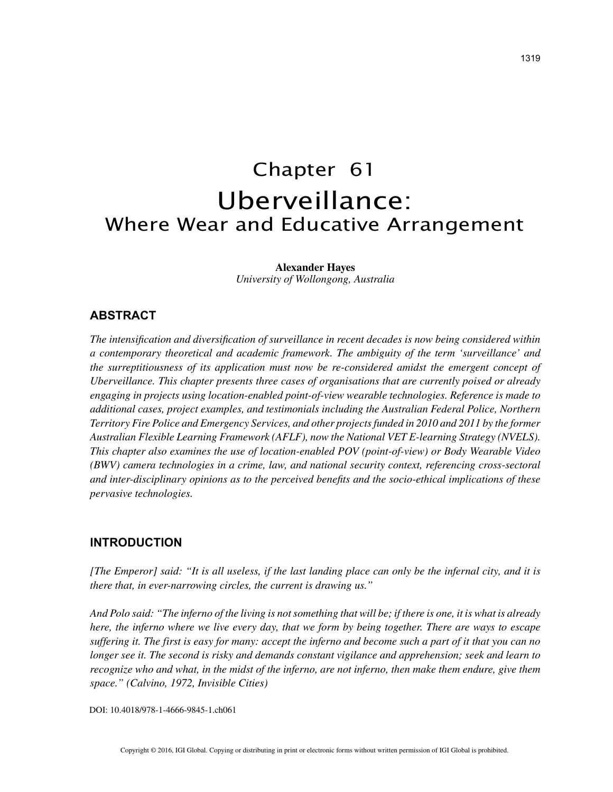# Chapter 61 Uberveillance: Where Wear and Educative Arrangement

**Alexander Hayes**

*University of Wollongong, Australia*

## **ABSTRACT**

*The intensification and diversification of surveillance in recent decades is now being considered within a contemporary theoretical and academic framework. The ambiguity of the term 'surveillance' and the surreptitiousness of its application must now be re-considered amidst the emergent concept of Uberveillance. This chapter presents three cases of organisations that are currently poised or already engaging in projects using location-enabled point-of-view wearable technologies. Reference is made to additional cases, project examples, and testimonials including the Australian Federal Police, Northern Territory Fire Police and Emergency Services, and other projects funded in 2010 and 2011 by the former Australian Flexible Learning Framework (AFLF), now the National VET E-learning Strategy (NVELS). This chapter also examines the use of location-enabled POV (point-of-view) or Body Wearable Video (BWV) camera technologies in a crime, law, and national security context, referencing cross-sectoral and inter-disciplinary opinions as to the perceived benefits and the socio-ethical implications of these pervasive technologies.*

### **INTRODUCTION**

*[The Emperor] said: "It is all useless, if the last landing place can only be the infernal city, and it is there that, in ever-narrowing circles, the current is drawing us."*

*And Polo said: "The inferno of the living is not something that will be; if there is one, it is what is already here, the inferno where we live every day, that we form by being together. There are ways to escape suffering it. The first is easy for many: accept the inferno and become such a part of it that you can no longer see it. The second is risky and demands constant vigilance and apprehension; seek and learn to recognize who and what, in the midst of the inferno, are not inferno, then make them endure, give them space." (Calvino, 1972, Invisible Cities)*

DOI: 10.4018/978-1-4666-9845-1.ch061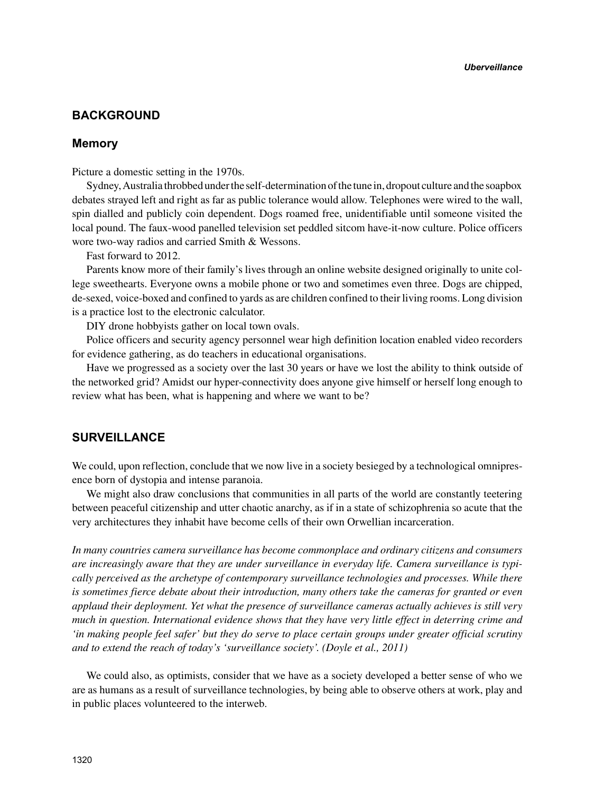# **BACKGROUND**

### **Memory**

Picture a domestic setting in the 1970s.

Sydney, Australia throbbed under the self-determination of the tune in, dropout culture and the soapbox debates strayed left and right as far as public tolerance would allow. Telephones were wired to the wall, spin dialled and publicly coin dependent. Dogs roamed free, unidentifiable until someone visited the local pound. The faux-wood panelled television set peddled sitcom have-it-now culture. Police officers wore two-way radios and carried Smith & Wessons.

Fast forward to 2012.

Parents know more of their family's lives through an online website designed originally to unite college sweethearts. Everyone owns a mobile phone or two and sometimes even three. Dogs are chipped, de-sexed, voice-boxed and confined to yards as are children confined to their living rooms. Long division is a practice lost to the electronic calculator.

DIY drone hobbyists gather on local town ovals.

Police officers and security agency personnel wear high definition location enabled video recorders for evidence gathering, as do teachers in educational organisations.

Have we progressed as a society over the last 30 years or have we lost the ability to think outside of the networked grid? Amidst our hyper-connectivity does anyone give himself or herself long enough to review what has been, what is happening and where we want to be?

## **SURVEILLANCE**

We could, upon reflection, conclude that we now live in a society besieged by a technological omnipresence born of dystopia and intense paranoia.

We might also draw conclusions that communities in all parts of the world are constantly teetering between peaceful citizenship and utter chaotic anarchy, as if in a state of schizophrenia so acute that the very architectures they inhabit have become cells of their own Orwellian incarceration.

*In many countries camera surveillance has become commonplace and ordinary citizens and consumers are increasingly aware that they are under surveillance in everyday life. Camera surveillance is typically perceived as the archetype of contemporary surveillance technologies and processes. While there is sometimes fierce debate about their introduction, many others take the cameras for granted or even applaud their deployment. Yet what the presence of surveillance cameras actually achieves is still very much in question. International evidence shows that they have very little effect in deterring crime and 'in making people feel safer' but they do serve to place certain groups under greater official scrutiny and to extend the reach of today's 'surveillance society'. (Doyle et al., 2011)*

We could also, as optimists, consider that we have as a society developed a better sense of who we are as humans as a result of surveillance technologies, by being able to observe others at work, play and in public places volunteered to the interweb.